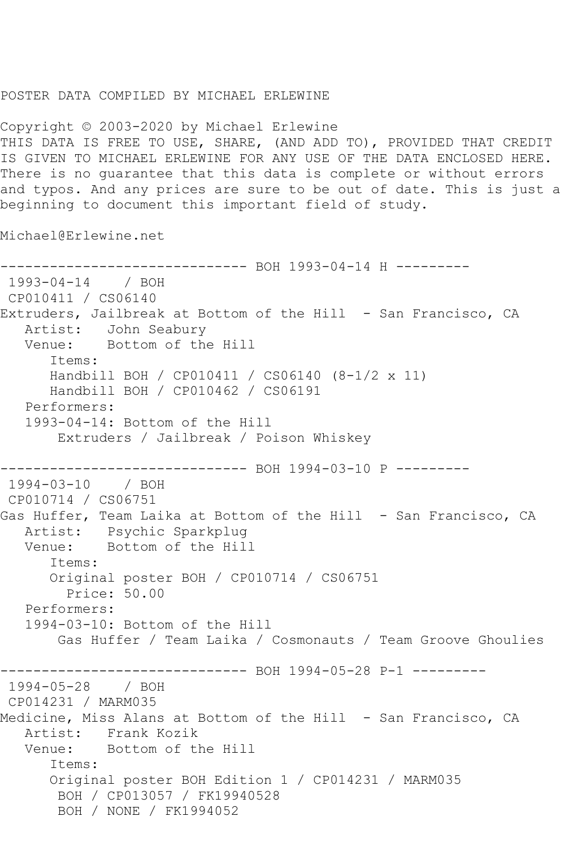## POSTER DATA COMPILED BY MICHAEL ERLEWINE

Copyright © 2003-2020 by Michael Erlewine THIS DATA IS FREE TO USE, SHARE, (AND ADD TO), PROVIDED THAT CREDIT IS GIVEN TO MICHAEL ERLEWINE FOR ANY USE OF THE DATA ENCLOSED HERE. There is no guarantee that this data is complete or without errors and typos. And any prices are sure to be out of date. This is just a beginning to document this important field of study.

Michael@Erlewine.net

------------------------------ BOH 1993-04-14 H --------- 1993-04-14 / BOH CP010411 / CS06140 Extruders, Jailbreak at Bottom of the Hill - San Francisco, CA<br>Artist: John Seaburv John Seabury Venue: Bottom of the Hill Items: Handbill BOH / CP010411 / CS06140 (8-1/2 x 11) Handbill BOH / CP010462 / CS06191 Performers: 1993-04-14: Bottom of the Hill Extruders / Jailbreak / Poison Whiskey ------------------------------ BOH 1994-03-10 P --------- 1994-03-10 / BOH CP010714 / CS06751 Gas Huffer, Team Laika at Bottom of the Hill - San Francisco, CA Artist: Psychic Sparkplug Venue: Bottom of the Hill Items: Original poster BOH / CP010714 / CS06751 Price: 50.00 Performers: 1994-03-10: Bottom of the Hill Gas Huffer / Team Laika / Cosmonauts / Team Groove Ghoulies ------------------------------ BOH 1994-05-28 P-1 --------- 1994-05-28 / BOH CP014231 / MARM035 Medicine, Miss Alans at Bottom of the Hill - San Francisco, CA Artist: Frank Kozik Venue: Bottom of the Hill Items: Original poster BOH Edition 1 / CP014231 / MARM035 BOH / CP013057 / FK19940528 BOH / NONE / FK1994052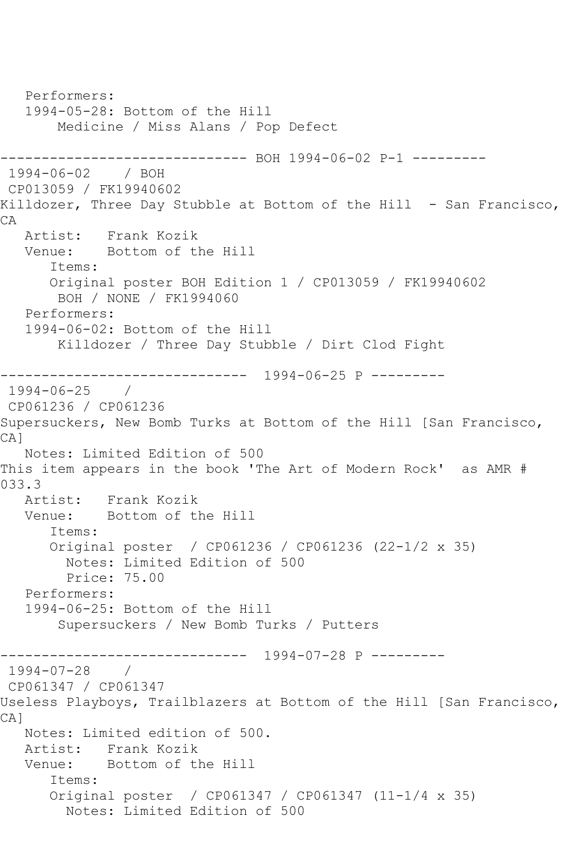Performers: 1994-05-28: Bottom of the Hill Medicine / Miss Alans / Pop Defect ------------------------------ BOH 1994-06-02 P-1 --------- 1994-06-02 / BOH CP013059 / FK19940602 Killdozer, Three Day Stubble at Bottom of the Hill - San Francisco, CA Artist: Frank Kozik<br>Venue: Bottom of tl Bottom of the Hill Items: Original poster BOH Edition 1 / CP013059 / FK19940602 BOH / NONE / FK1994060 Performers: 1994-06-02: Bottom of the Hill Killdozer / Three Day Stubble / Dirt Clod Fight ------------------------------ 1994-06-25 P --------- 1994-06-25 / CP061236 / CP061236 Supersuckers, New Bomb Turks at Bottom of the Hill [San Francisco, CA] Notes: Limited Edition of 500 This item appears in the book 'The Art of Modern Rock' as AMR # 033.3<br>Artist: Artist: Frank Kozik<br>Venue: Bottom of tl Bottom of the Hill Items: Original poster / CP061236 / CP061236 (22-1/2 x 35) Notes: Limited Edition of 500 Price: 75.00 Performers: 1994-06-25: Bottom of the Hill Supersuckers / New Bomb Turks / Putters ------------------------------ 1994-07-28 P --------- 1994-07-28 / CP061347 / CP061347 Useless Playboys, Trailblazers at Bottom of the Hill [San Francisco, CA] Notes: Limited edition of 500. Artist: Frank Kozik Venue: Bottom of the Hill Items: Original poster / CP061347 / CP061347 (11-1/4 x 35) Notes: Limited Edition of 500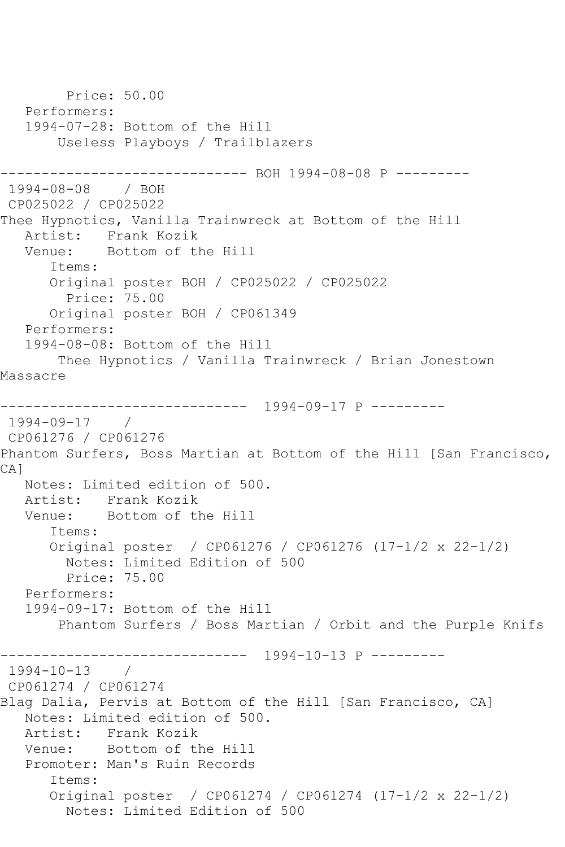Price: 50.00 Performers: 1994-07-28: Bottom of the Hill Useless Playboys / Trailblazers ------------------------------ BOH 1994-08-08 P --------- 1994-08-08 / BOH CP025022 / CP025022 Thee Hypnotics, Vanilla Trainwreck at Bottom of the Hill Artist: Frank Kozik<br>Venue: Bottom of th Bottom of the Hill Items: Original poster BOH / CP025022 / CP025022 Price: 75.00 Original poster BOH / CP061349 Performers: 1994-08-08: Bottom of the Hill Thee Hypnotics / Vanilla Trainwreck / Brian Jonestown Massacre ------------------------------ 1994-09-17 P --------- 1994-09-17 / CP061276 / CP061276 Phantom Surfers, Boss Martian at Bottom of the Hill [San Francisco, CA] Notes: Limited edition of 500. Artist: Frank Kozik Venue: Bottom of the Hill Items: Original poster / CP061276 / CP061276 (17-1/2 x 22-1/2) Notes: Limited Edition of 500 Price: 75.00 Performers: 1994-09-17: Bottom of the Hill Phantom Surfers / Boss Martian / Orbit and the Purple Knifs ------------------------------ 1994-10-13 P --------- 1994-10-13 / CP061274 / CP061274 Blag Dalia, Pervis at Bottom of the Hill [San Francisco, CA] Notes: Limited edition of 500. Artist: Frank Kozik Venue: Bottom of the Hill Promoter: Man's Ruin Records Items: Original poster / CP061274 / CP061274 (17-1/2 x 22-1/2) Notes: Limited Edition of 500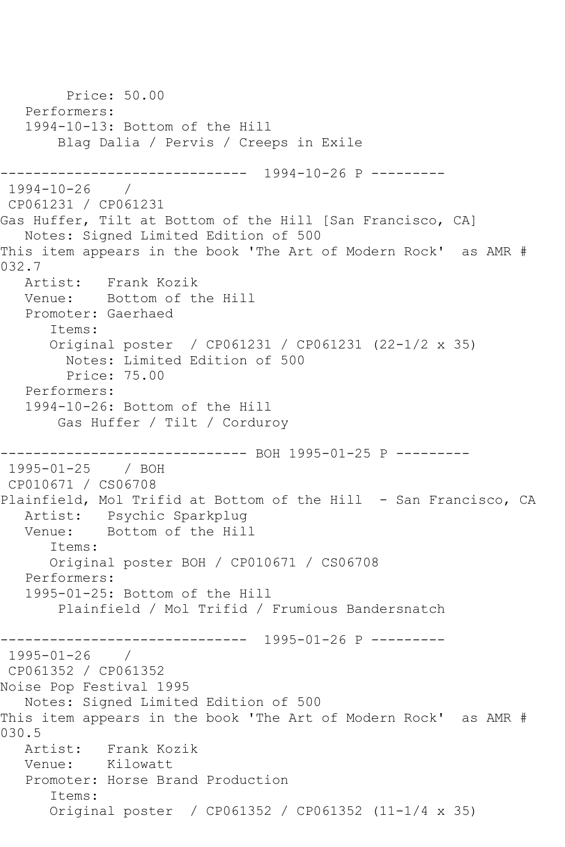Price: 50.00 Performers: 1994-10-13: Bottom of the Hill Blag Dalia / Pervis / Creeps in Exile  $--------- 1994-10-26 P$  ---------1994-10-26 / CP061231 / CP061231 Gas Huffer, Tilt at Bottom of the Hill [San Francisco, CA] Notes: Signed Limited Edition of 500 This item appears in the book 'The Art of Modern Rock' as AMR # 032.7 Artist: Frank Kozik Venue: Bottom of the Hill Promoter: Gaerhaed Items: Original poster / CP061231 / CP061231 (22-1/2 x 35) Notes: Limited Edition of 500 Price: 75.00 Performers: 1994-10-26: Bottom of the Hill Gas Huffer / Tilt / Corduroy ------------------------------ BOH 1995-01-25 P --------- 1995-01-25 / BOH CP010671 / CS06708 Plainfield, Mol Trifid at Bottom of the Hill - San Francisco, CA Artist: Psychic Sparkplug Venue: Bottom of the Hill Items: Original poster BOH / CP010671 / CS06708 Performers: 1995-01-25: Bottom of the Hill Plainfield / Mol Trifid / Frumious Bandersnatch ------------------------------ 1995-01-26 P --------- 1995-01-26 / CP061352 / CP061352 Noise Pop Festival 1995 Notes: Signed Limited Edition of 500 This item appears in the book 'The Art of Modern Rock' as AMR # 030.5<br>Artist: Frank Kozik Venue: Kilowatt Promoter: Horse Brand Production Items: Original poster / CP061352 / CP061352 (11-1/4 x 35)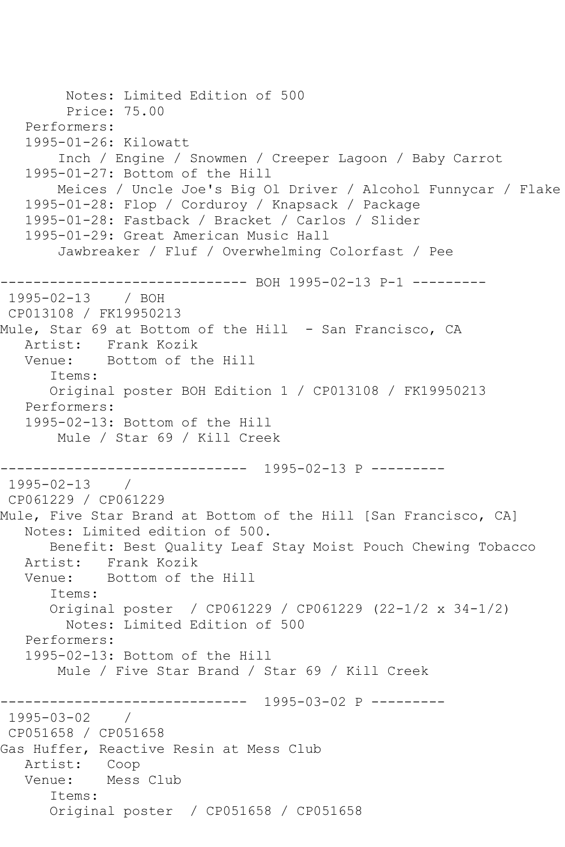```
 Notes: Limited Edition of 500
         Price: 75.00
    Performers:
    1995-01-26: Kilowatt
        Inch / Engine / Snowmen / Creeper Lagoon / Baby Carrot
    1995-01-27: Bottom of the Hill
        Meices / Uncle Joe's Big Ol Driver / Alcohol Funnycar / Flake
    1995-01-28: Flop / Corduroy / Knapsack / Package
    1995-01-28: Fastback / Bracket / Carlos / Slider
    1995-01-29: Great American Music Hall
        Jawbreaker / Fluf / Overwhelming Colorfast / Pee
       ------------------------------ BOH 1995-02-13 P-1 ---------
1995-02-13 / BOH 
CP013108 / FK19950213
Mule, Star 69 at Bottom of the Hill - San Francisco, CA
  Artist: Frank Kozik<br>Venue: Bottom of tl
            Bottom of the Hill
       Items:
       Original poster BOH Edition 1 / CP013108 / FK19950213
    Performers:
    1995-02-13: Bottom of the Hill
        Mule / Star 69 / Kill Creek
             ------------------------------ 1995-02-13 P ---------
1995 - 02 - 13CP061229 / CP061229
Mule, Five Star Brand at Bottom of the Hill [San Francisco, CA]
   Notes: Limited edition of 500.
       Benefit: Best Quality Leaf Stay Moist Pouch Chewing Tobacco
   Artist: Frank Kozik
   Venue: Bottom of the Hill
       Items:
       Original poster / CP061229 / CP061229 (22-1/2 x 34-1/2)
         Notes: Limited Edition of 500
   Performers:
    1995-02-13: Bottom of the Hill
        Mule / Five Star Brand / Star 69 / Kill Creek
------------------------------ 1995-03-02 P ---------
1995-03-02 / 
CP051658 / CP051658
Gas Huffer, Reactive Resin at Mess Club
   Artist: Coop
   Venue: Mess Club
       Items:
       Original poster / CP051658 / CP051658
```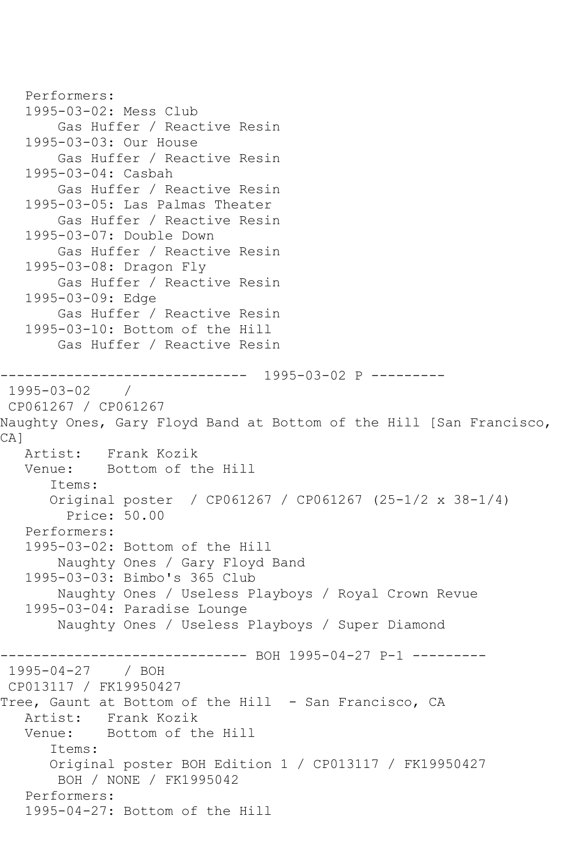```
 Performers:
    1995-03-02: Mess Club
        Gas Huffer / Reactive Resin
    1995-03-03: Our House
        Gas Huffer / Reactive Resin
    1995-03-04: Casbah
        Gas Huffer / Reactive Resin
    1995-03-05: Las Palmas Theater
        Gas Huffer / Reactive Resin
    1995-03-07: Double Down
        Gas Huffer / Reactive Resin
    1995-03-08: Dragon Fly
        Gas Huffer / Reactive Resin
    1995-03-09: Edge
        Gas Huffer / Reactive Resin
    1995-03-10: Bottom of the Hill
        Gas Huffer / Reactive Resin
                 ------------------------------ 1995-03-02 P ---------
1995-03-02 / 
CP061267 / CP061267
Naughty Ones, Gary Floyd Band at Bottom of the Hill [San Francisco, 
CA]
   Artist: Frank Kozik
   Venue: Bottom of the Hill
       Items:
       Original poster / CP061267 / CP061267 (25-1/2 x 38-1/4)
         Price: 50.00
    Performers:
    1995-03-02: Bottom of the Hill
        Naughty Ones / Gary Floyd Band
    1995-03-03: Bimbo's 365 Club
        Naughty Ones / Useless Playboys / Royal Crown Revue
    1995-03-04: Paradise Lounge
        Naughty Ones / Useless Playboys / Super Diamond
------------------------------ BOH 1995-04-27 P-1 ---------
1995-04-27 / BOH 
CP013117 / FK19950427
Tree, Gaunt at Bottom of the Hill - San Francisco, CA
   Artist: Frank Kozik
   Venue: Bottom of the Hill
       Items:
       Original poster BOH Edition 1 / CP013117 / FK19950427
        BOH / NONE / FK1995042
    Performers:
    1995-04-27: Bottom of the Hill
```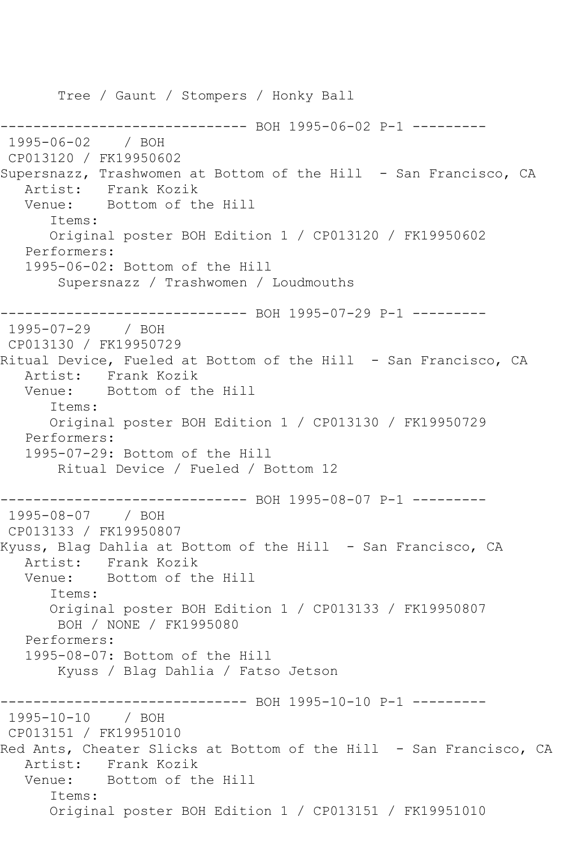Tree / Gaunt / Stompers / Honky Ball ------------------------------ BOH 1995-06-02 P-1 --------- 1995-06-02 / BOH CP013120 / FK19950602 Supersnazz, Trashwomen at Bottom of the Hill - San Francisco, CA Artist: Frank Kozik Venue: Bottom of the Hill Items: Original poster BOH Edition 1 / CP013120 / FK19950602 Performers: 1995-06-02: Bottom of the Hill Supersnazz / Trashwomen / Loudmouths ------------------------------ BOH 1995-07-29 P-1 --------- 1995-07-29 / BOH CP013130 / FK19950729 Ritual Device, Fueled at Bottom of the Hill - San Francisco, CA Artist: Frank Kozik<br>Venue: Bottom of th Bottom of the Hill Items: Original poster BOH Edition 1 / CP013130 / FK19950729 Performers: 1995-07-29: Bottom of the Hill Ritual Device / Fueled / Bottom 12 ------------------------------ BOH 1995-08-07 P-1 --------- 1995-08-07 / BOH CP013133 / FK19950807 Kyuss, Blag Dahlia at Bottom of the Hill - San Francisco, CA Artist: Frank Kozik Venue: Bottom of the Hill Items: Original poster BOH Edition 1 / CP013133 / FK19950807 BOH / NONE / FK1995080 Performers: 1995-08-07: Bottom of the Hill Kyuss / Blag Dahlia / Fatso Jetson ------------------------------ BOH 1995-10-10 P-1 --------- 1995-10-10 / BOH CP013151 / FK19951010 Red Ants, Cheater Slicks at Bottom of the Hill - San Francisco, CA Artist: Frank Kozik Venue: Bottom of the Hill Items: Original poster BOH Edition 1 / CP013151 / FK19951010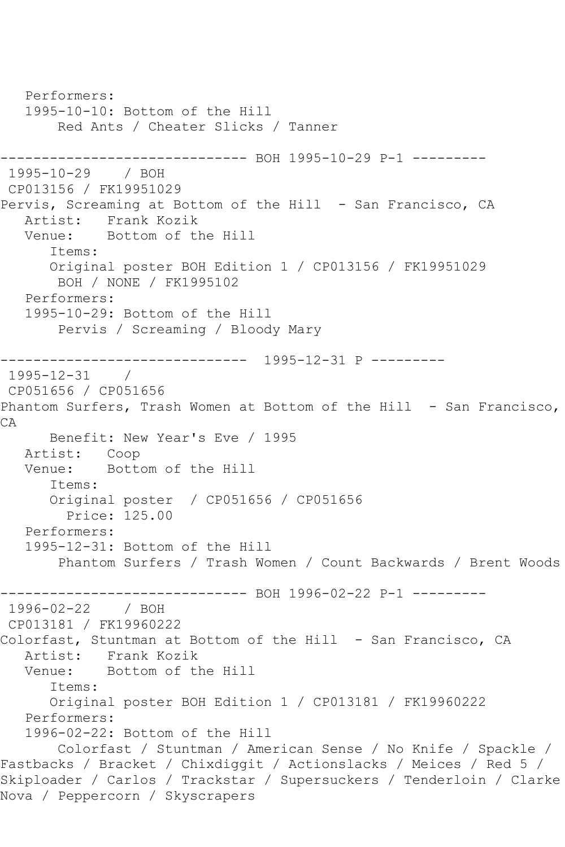Performers: 1995-10-10: Bottom of the Hill Red Ants / Cheater Slicks / Tanner ------------------------------ BOH 1995-10-29 P-1 --------- 1995-10-29 / BOH CP013156 / FK19951029 Pervis, Screaming at Bottom of the Hill - San Francisco, CA Artist: Frank Kozik Venue: Bottom of the Hill Items: Original poster BOH Edition 1 / CP013156 / FK19951029 BOH / NONE / FK1995102 Performers: 1995-10-29: Bottom of the Hill Pervis / Screaming / Bloody Mary ------------------------------ 1995-12-31 P --------- 1995-12-31 / CP051656 / CP051656 Phantom Surfers, Trash Women at Bottom of the Hill - San Francisco, CA Benefit: New Year's Eve / 1995 Artist: Coop Venue: Bottom of the Hill Items: Original poster / CP051656 / CP051656 Price: 125.00 Performers: 1995-12-31: Bottom of the Hill Phantom Surfers / Trash Women / Count Backwards / Brent Woods ------------------------------ BOH 1996-02-22 P-1 --------- 1996-02-22 / BOH CP013181 / FK19960222 Colorfast, Stuntman at Bottom of the Hill - San Francisco, CA Artist: Frank Kozik Venue: Bottom of the Hill Items: Original poster BOH Edition 1 / CP013181 / FK19960222 Performers: 1996-02-22: Bottom of the Hill Colorfast / Stuntman / American Sense / No Knife / Spackle / Fastbacks / Bracket / Chixdiggit / Actionslacks / Meices / Red 5 / Skiploader / Carlos / Trackstar / Supersuckers / Tenderloin / Clarke Nova / Peppercorn / Skyscrapers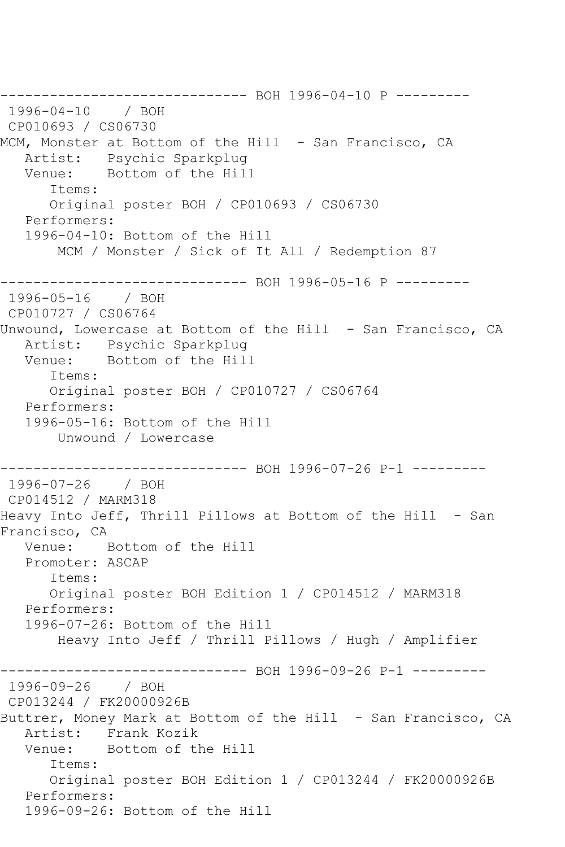------------------------------ BOH 1996-04-10 P --------- 1996-04-10 / BOH CP010693 / CS06730 MCM, Monster at Bottom of the Hill - San Francisco, CA Artist: Psychic Sparkplug Venue: Bottom of the Hill Items: Original poster BOH / CP010693 / CS06730 Performers: 1996-04-10: Bottom of the Hill MCM / Monster / Sick of It All / Redemption 87 ------------------------------ BOH 1996-05-16 P --------- 1996-05-16 / BOH CP010727 / CS06764 Unwound, Lowercase at Bottom of the Hill - San Francisco, CA Artist: Psychic Sparkplug<br>Venue: Bottom of the Hil Bottom of the Hill Items: Original poster BOH / CP010727 / CS06764 Performers: 1996-05-16: Bottom of the Hill Unwound / Lowercase ------------------------------ BOH 1996-07-26 P-1 --------- 1996-07-26 / BOH CP014512 / MARM318 Heavy Into Jeff, Thrill Pillows at Bottom of the Hill - San Francisco, CA Venue: Bottom of the Hill Promoter: ASCAP Items: Original poster BOH Edition 1 / CP014512 / MARM318 Performers: 1996-07-26: Bottom of the Hill Heavy Into Jeff / Thrill Pillows / Hugh / Amplifier ------------------------------ BOH 1996-09-26 P-1 --------- 1996-09-26 / BOH CP013244 / FK20000926B Buttrer, Money Mark at Bottom of the Hill - San Francisco, CA Artist: Frank Kozik Venue: Bottom of the Hill Items: Original poster BOH Edition 1 / CP013244 / FK20000926B Performers: 1996-09-26: Bottom of the Hill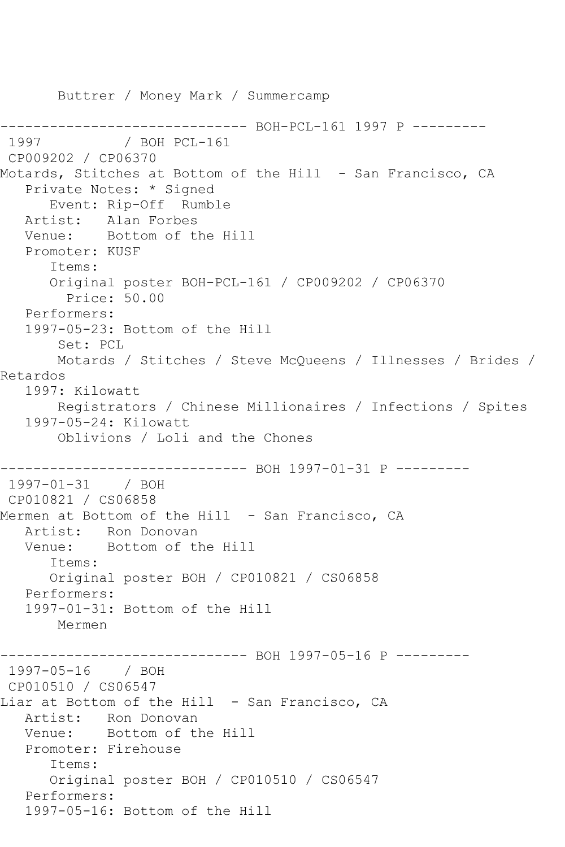Buttrer / Money Mark / Summercamp ------------------------------ BOH-PCL-161 1997 P ---------  $/$  BOH PCL-161 CP009202 / CP06370 Motards, Stitches at Bottom of the Hill - San Francisco, CA Private Notes: \* Signed Event: Rip-Off Rumble Artist: Alan Forbes Venue: Bottom of the Hill Promoter: KUSF Items: Original poster BOH-PCL-161 / CP009202 / CP06370 Price: 50.00 Performers: 1997-05-23: Bottom of the Hill Set: PCL Motards / Stitches / Steve McQueens / Illnesses / Brides / Retardos 1997: Kilowatt Registrators / Chinese Millionaires / Infections / Spites 1997-05-24: Kilowatt Oblivions / Loli and the Chones -------------------- BOH 1997-01-31 P ---------1997-01-31 / BOH CP010821 / CS06858 Mermen at Bottom of the Hill - San Francisco, CA Artist: Ron Donovan Venue: Bottom of the Hill Items: Original poster BOH / CP010821 / CS06858 Performers: 1997-01-31: Bottom of the Hill Mermen ------------------------------ BOH 1997-05-16 P --------- 1997-05-16 / BOH CP010510 / CS06547 Liar at Bottom of the Hill - San Francisco, CA Artist: Ron Donovan Venue: Bottom of the Hill Promoter: Firehouse Items: Original poster BOH / CP010510 / CS06547 Performers: 1997-05-16: Bottom of the Hill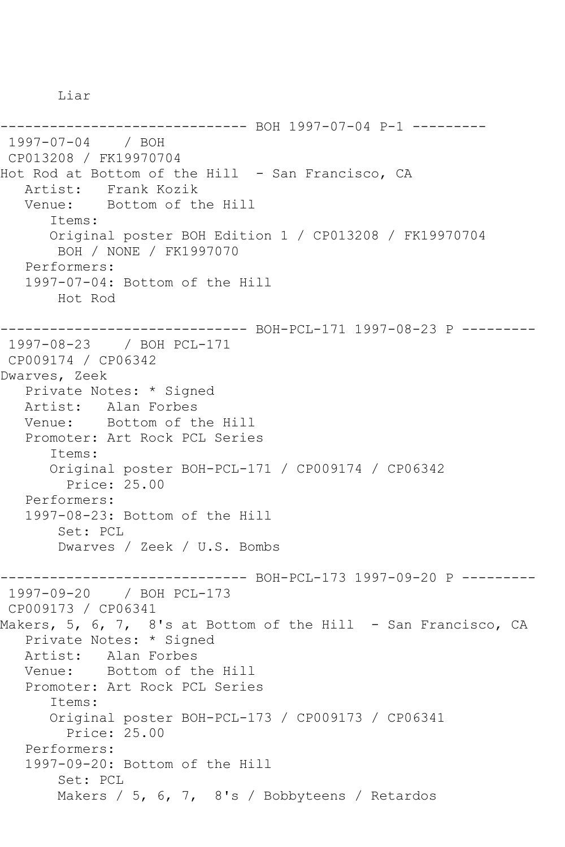Liar

```
------------------------------ BOH 1997-07-04 P-1 ---------
1997-07-04 / BOH 
CP013208 / FK19970704
Hot Rod at Bottom of the Hill - San Francisco, CA
   Artist: Frank Kozik
   Venue: Bottom of the Hill
       Items:
       Original poster BOH Edition 1 / CP013208 / FK19970704
        BOH / NONE / FK1997070
   Performers:
   1997-07-04: Bottom of the Hill
       Hot Rod
------------------------------ BOH-PCL-171 1997-08-23 P ---------
1997-08-23 / BOH PCL-171
CP009174 / CP06342
Dwarves, Zeek
   Private Notes: * Signed
   Artist: Alan Forbes
   Venue: Bottom of the Hill
   Promoter: Art Rock PCL Series
       Items:
      Original poster BOH-PCL-171 / CP009174 / CP06342
         Price: 25.00
   Performers:
   1997-08-23: Bottom of the Hill
        Set: PCL
        Dwarves / Zeek / U.S. Bombs
------------------------------ BOH-PCL-173 1997-09-20 P ---------
1997-09-20 / BOH PCL-173
CP009173 / CP06341
Makers, 5, 6, 7, 8's at Bottom of the Hill - San Francisco, CA
   Private Notes: * Signed
   Artist: Alan Forbes
   Venue: Bottom of the Hill
   Promoter: Art Rock PCL Series
       Items:
       Original poster BOH-PCL-173 / CP009173 / CP06341
         Price: 25.00
   Performers:
   1997-09-20: Bottom of the Hill
        Set: PCL
       Makers / 5, 6, 7, 8's / Bobbyteens / Retardos
```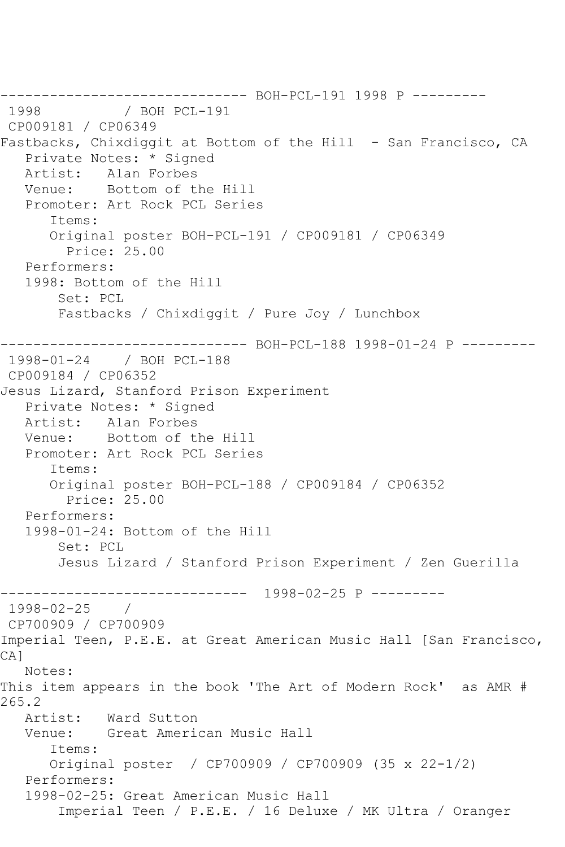------------------------------ BOH-PCL-191 1998 P ---------  $/$  BOH PCL-191 CP009181 / CP06349 Fastbacks, Chixdiggit at Bottom of the Hill - San Francisco, CA Private Notes: \* Signed<br>Artist: Alan Forbes Alan Forbes Venue: Bottom of the Hill Promoter: Art Rock PCL Series Items: Original poster BOH-PCL-191 / CP009181 / CP06349 Price: 25.00 Performers: 1998: Bottom of the Hill Set: PCL Fastbacks / Chixdiggit / Pure Joy / Lunchbox ------------------------------ BOH-PCL-188 1998-01-24 P --------- 1998-01-24 / BOH PCL-188 CP009184 / CP06352 Jesus Lizard, Stanford Prison Experiment Private Notes: \* Signed<br>Artist: Alan Forbes Alan Forbes Venue: Bottom of the Hill Promoter: Art Rock PCL Series Items: Original poster BOH-PCL-188 / CP009184 / CP06352 Price: 25.00 Performers: 1998-01-24: Bottom of the Hill Set: PCL Jesus Lizard / Stanford Prison Experiment / Zen Guerilla ------------------------------ 1998-02-25 P --------- 1998-02-25 / CP700909 / CP700909 Imperial Teen, P.E.E. at Great American Music Hall [San Francisco, CA] Notes: This item appears in the book 'The Art of Modern Rock' as AMR # 265.2<br>: Artist Ward Sutton Venue: Great American Music Hall Items: Original poster / CP700909 / CP700909 (35 x 22-1/2) Performers: 1998-02-25: Great American Music Hall Imperial Teen / P.E.E. / 16 Deluxe / MK Ultra / Oranger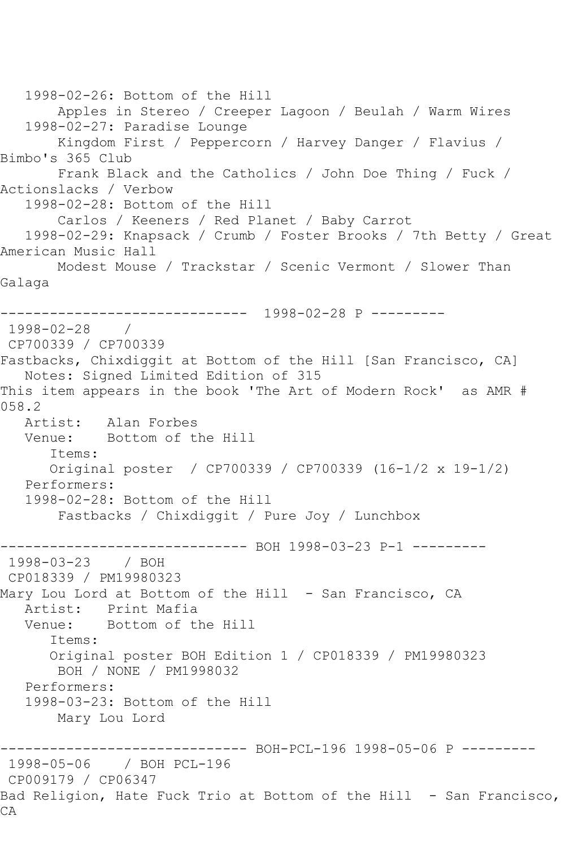1998-02-26: Bottom of the Hill Apples in Stereo / Creeper Lagoon / Beulah / Warm Wires 1998-02-27: Paradise Lounge Kingdom First / Peppercorn / Harvey Danger / Flavius / Bimbo's 365 Club Frank Black and the Catholics / John Doe Thing / Fuck / Actionslacks / Verbow 1998-02-28: Bottom of the Hill Carlos / Keeners / Red Planet / Baby Carrot 1998-02-29: Knapsack / Crumb / Foster Brooks / 7th Betty / Great American Music Hall Modest Mouse / Trackstar / Scenic Vermont / Slower Than Galaga ------------------------------ 1998-02-28 P --------- 1998-02-28 / CP700339 / CP700339 Fastbacks, Chixdiggit at Bottom of the Hill [San Francisco, CA] Notes: Signed Limited Edition of 315 This item appears in the book 'The Art of Modern Rock' as AMR # 058.2 Artist: Alan Forbes Venue: Bottom of the Hill Items: Original poster / CP700339 / CP700339 (16-1/2 x 19-1/2) Performers: 1998-02-28: Bottom of the Hill Fastbacks / Chixdiggit / Pure Joy / Lunchbox ------------------------------ BOH 1998-03-23 P-1 --------- 1998-03-23 / BOH CP018339 / PM19980323 Mary Lou Lord at Bottom of the Hill - San Francisco, CA Artist: Print Mafia Venue: Bottom of the Hill Items: Original poster BOH Edition 1 / CP018339 / PM19980323 BOH / NONE / PM1998032 Performers: 1998-03-23: Bottom of the Hill Mary Lou Lord ------------------------------ BOH-PCL-196 1998-05-06 P --------- 1998-05-06 / BOH PCL-196 CP009179 / CP06347 Bad Religion, Hate Fuck Trio at Bottom of the Hill - San Francisco, CA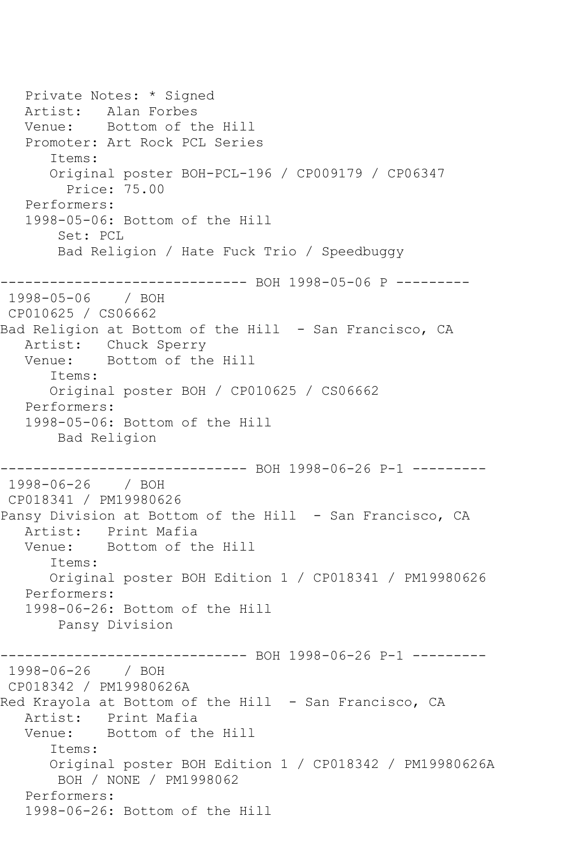Private Notes: \* Signed Artist: Alan Forbes Venue: Bottom of the Hill Promoter: Art Rock PCL Series Items: Original poster BOH-PCL-196 / CP009179 / CP06347 Price: 75.00 Performers: 1998-05-06: Bottom of the Hill Set: PCL Bad Religion / Hate Fuck Trio / Speedbuggy ------------------------------ BOH 1998-05-06 P --------- 1998-05-06 / BOH CP010625 / CS06662 Bad Religion at Bottom of the Hill - San Francisco, CA Artist: Chuck Sperry<br>Venue: Bottom of the Bottom of the Hill Items: Original poster BOH / CP010625 / CS06662 Performers: 1998-05-06: Bottom of the Hill Bad Religion ----------- BOH 1998-06-26 P-1 ---------1998-06-26 / BOH CP018341 / PM19980626 Pansy Division at Bottom of the Hill - San Francisco, CA Artist: Print Mafia<br>Venue: Bottom of th Bottom of the Hill Items: Original poster BOH Edition 1 / CP018341 / PM19980626 Performers: 1998-06-26: Bottom of the Hill Pansy Division ------------------------------ BOH 1998-06-26 P-1 --------- 1998-06-26 / BOH CP018342 / PM19980626A Red Krayola at Bottom of the Hill - San Francisco, CA Artist: Print Mafia Venue: Bottom of the Hill Items: Original poster BOH Edition 1 / CP018342 / PM19980626A BOH / NONE / PM1998062 Performers: 1998-06-26: Bottom of the Hill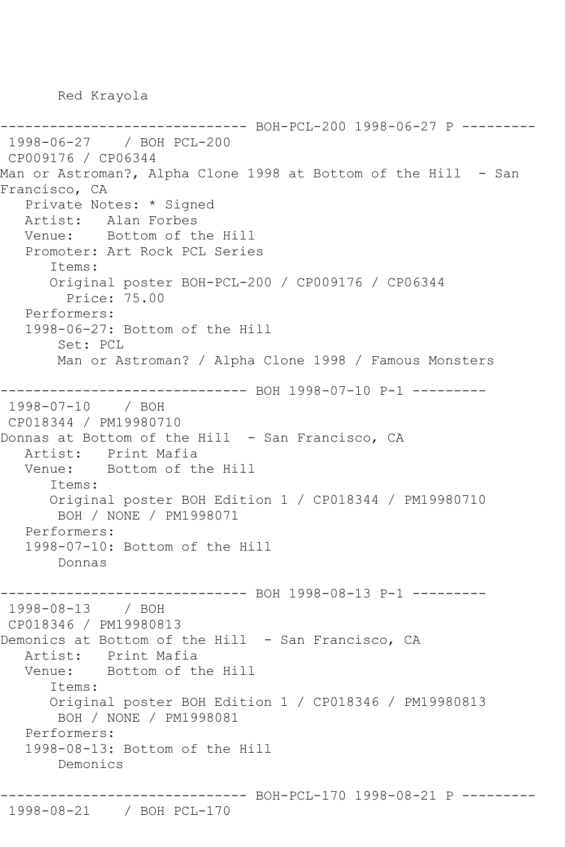Red Krayola

------------------------------ BOH-PCL-200 1998-06-27 P --------- 1998-06-27 / BOH PCL-200 CP009176 / CP06344 Man or Astroman?, Alpha Clone 1998 at Bottom of the Hill - San Francisco, CA Private Notes: \* Signed Artist: Alan Forbes Venue: Bottom of the Hill Promoter: Art Rock PCL Series Items: Original poster BOH-PCL-200 / CP009176 / CP06344 Price: 75.00 Performers: 1998-06-27: Bottom of the Hill Set: PCL Man or Astroman? / Alpha Clone 1998 / Famous Monsters ------------------------------ BOH 1998-07-10 P-1 --------- 1998-07-10 / BOH CP018344 / PM19980710 Donnas at Bottom of the Hill - San Francisco, CA Artist: Print Mafia Venue: Bottom of the Hill Items: Original poster BOH Edition 1 / CP018344 / PM19980710 BOH / NONE / PM1998071 Performers: 1998-07-10: Bottom of the Hill Donnas ------------------------------ BOH 1998-08-13 P-1 --------- 1998-08-13 / BOH CP018346 / PM19980813 Demonics at Bottom of the Hill - San Francisco, CA Artist: Print Mafia Venue: Bottom of the Hill Items: Original poster BOH Edition 1 / CP018346 / PM19980813 BOH / NONE / PM1998081 Performers: 1998-08-13: Bottom of the Hill Demonics ------------------------------ BOH-PCL-170 1998-08-21 P ---------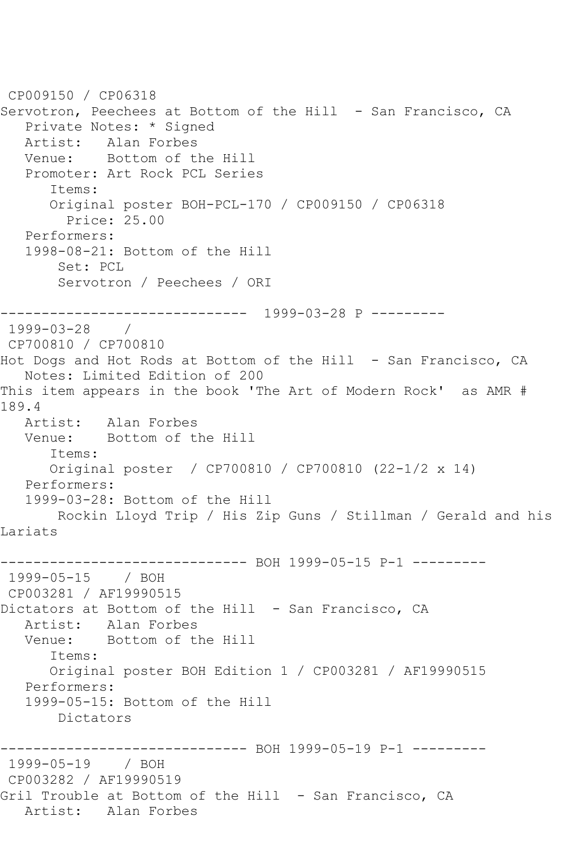CP009150 / CP06318 Servotron, Peechees at Bottom of the Hill - San Francisco, CA Private Notes: \* Signed Artist: Alan Forbes<br>Venue: Bottom of t Bottom of the Hill Promoter: Art Rock PCL Series Items: Original poster BOH-PCL-170 / CP009150 / CP06318 Price: 25.00 Performers: 1998-08-21: Bottom of the Hill Set: PCL Servotron / Peechees / ORI ------------------------------ 1999-03-28 P --------- 1999-03-28 / CP700810 / CP700810 Hot Dogs and Hot Rods at Bottom of the Hill - San Francisco, CA Notes: Limited Edition of 200 This item appears in the book 'The Art of Modern Rock' as AMR # 189.4 Artist: Alan Forbes<br>Venue: Bottom of tl Bottom of the Hill Items: Original poster / CP700810 / CP700810 (22-1/2 x 14) Performers: 1999-03-28: Bottom of the Hill Rockin Lloyd Trip / His Zip Guns / Stillman / Gerald and his Lariats ------------------------------ BOH 1999-05-15 P-1 --------- 1999-05-15 / BOH CP003281 / AF19990515 Dictators at Bottom of the Hill - San Francisco, CA Artist: Alan Forbes Venue: Bottom of the Hill Items: Original poster BOH Edition 1 / CP003281 / AF19990515 Performers: 1999-05-15: Bottom of the Hill Dictators ------------------------------ BOH 1999-05-19 P-1 --------- 1999-05-19 / BOH CP003282 / AF19990519 Gril Trouble at Bottom of the Hill - San Francisco, CA Artist: Alan Forbes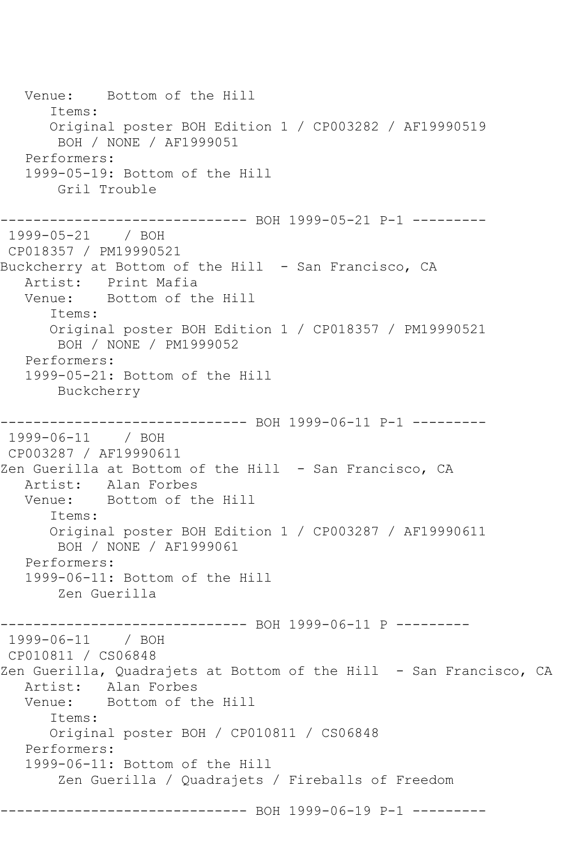Venue: Bottom of the Hill Items: Original poster BOH Edition 1 / CP003282 / AF19990519 BOH / NONE / AF1999051 Performers: 1999-05-19: Bottom of the Hill Gril Trouble ------------------------------ BOH 1999-05-21 P-1 --------- 1999-05-21 / BOH CP018357 / PM19990521 Buckcherry at Bottom of the Hill - San Francisco, CA Artist: Print Mafia Venue: Bottom of the Hill Items: Original poster BOH Edition 1 / CP018357 / PM19990521 BOH / NONE / PM1999052 Performers: 1999-05-21: Bottom of the Hill Buckcherry ------------------------------ BOH 1999-06-11 P-1 --------- 1999-06-11 / BOH CP003287 / AF19990611 Zen Guerilla at Bottom of the Hill - San Francisco, CA Artist: Alan Forbes Venue: Bottom of the Hill Items: Original poster BOH Edition 1 / CP003287 / AF19990611 BOH / NONE / AF1999061 Performers: 1999-06-11: Bottom of the Hill Zen Guerilla ----------- BOH 1999-06-11 P ---------1999-06-11 / BOH CP010811 / CS06848 Zen Guerilla, Quadrajets at Bottom of the Hill - San Francisco, CA Artist: Alan Forbes<br>Venue: Bottom of tl Bottom of the Hill Items: Original poster BOH / CP010811 / CS06848 Performers: 1999-06-11: Bottom of the Hill Zen Guerilla / Quadrajets / Fireballs of Freedom ------------------------------ BOH 1999-06-19 P-1 ---------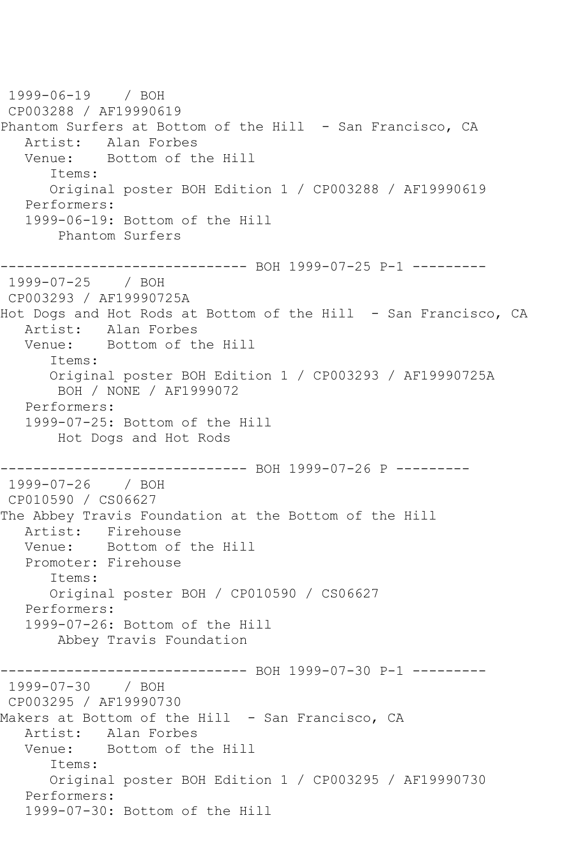1999-06-19 / BOH CP003288 / AF19990619 Phantom Surfers at Bottom of the Hill - San Francisco, CA Artist: Alan Forbes<br>Venue: Bottom of tl Bottom of the Hill Items: Original poster BOH Edition 1 / CP003288 / AF19990619 Performers: 1999-06-19: Bottom of the Hill Phantom Surfers ------------------------------ BOH 1999-07-25 P-1 --------- 1999-07-25 / BOH CP003293 / AF19990725A Hot Dogs and Hot Rods at Bottom of the Hill - San Francisco, CA Artist: Alan Forbes Venue: Bottom of the Hill Items: Original poster BOH Edition 1 / CP003293 / AF19990725A BOH / NONE / AF1999072 Performers: 1999-07-25: Bottom of the Hill Hot Dogs and Hot Rods ----------- BOH 1999-07-26 P ---------1999-07-26 / BOH CP010590 / CS06627 The Abbey Travis Foundation at the Bottom of the Hill Artist: Firehouse Venue: Bottom of the Hill Promoter: Firehouse Items: Original poster BOH / CP010590 / CS06627 Performers: 1999-07-26: Bottom of the Hill Abbey Travis Foundation ----------- BOH 1999-07-30 P-1 ---------1999-07-30 / BOH CP003295 / AF19990730 Makers at Bottom of the Hill - San Francisco, CA Artist: Alan Forbes Venue: Bottom of the Hill Items: Original poster BOH Edition 1 / CP003295 / AF19990730 Performers: 1999-07-30: Bottom of the Hill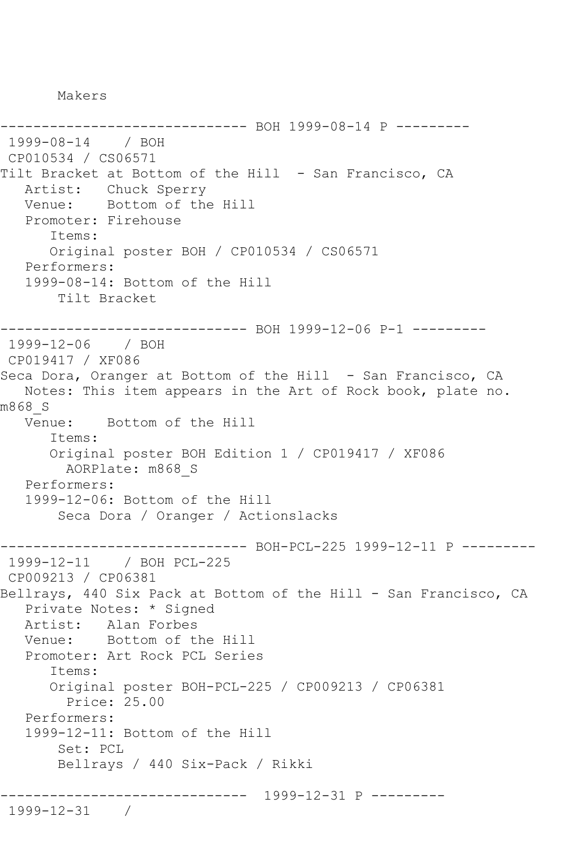Makers

------------------------------ BOH 1999-08-14 P --------- 1999-08-14 / BOH CP010534 / CS06571 Tilt Bracket at Bottom of the Hill - San Francisco, CA Artist: Chuck Sperry Venue: Bottom of the Hill Promoter: Firehouse Items: Original poster BOH / CP010534 / CS06571 Performers: 1999-08-14: Bottom of the Hill Tilt Bracket ------------------------------ BOH 1999-12-06 P-1 --------- 1999-12-06 / BOH CP019417 / XF086 Seca Dora, Oranger at Bottom of the Hill - San Francisco, CA Notes: This item appears in the Art of Rock book, plate no. m868\_S Venue: Bottom of the Hill Items: Original poster BOH Edition 1 / CP019417 / XF086 AORPlate: m868\_S Performers: 1999-12-06: Bottom of the Hill Seca Dora / Oranger / Actionslacks ------------------------------ BOH-PCL-225 1999-12-11 P --------- 1999-12-11 / BOH PCL-225 CP009213 / CP06381 Bellrays, 440 Six Pack at Bottom of the Hill - San Francisco, CA Private Notes: \* Signed Artist: Alan Forbes Venue: Bottom of the Hill Promoter: Art Rock PCL Series Items: Original poster BOH-PCL-225 / CP009213 / CP06381 Price: 25.00 Performers: 1999-12-11: Bottom of the Hill Set: PCL Bellrays / 440 Six-Pack / Rikki ------------------------------ 1999-12-31 P --------- 1999-12-31 /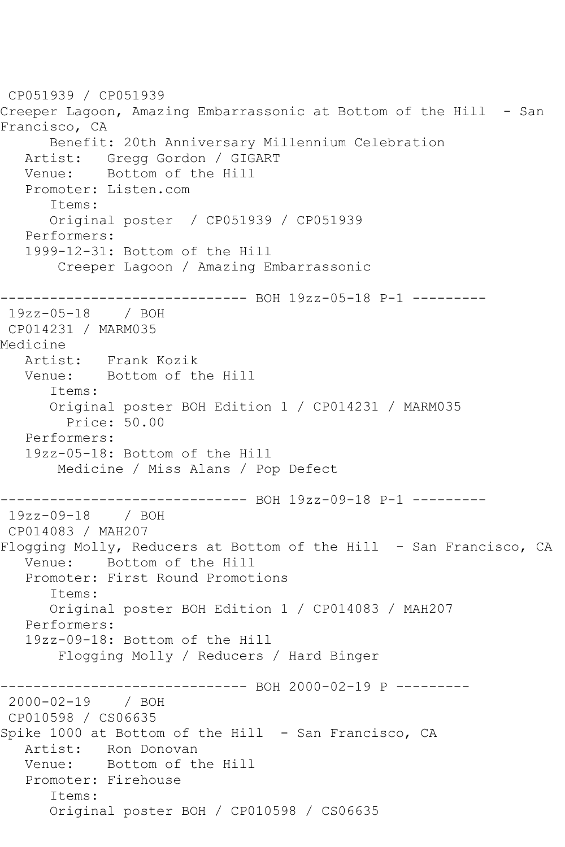```
CP051939 / CP051939
Creeper Lagoon, Amazing Embarrassonic at Bottom of the Hill - San 
Francisco, CA
      Benefit: 20th Anniversary Millennium Celebration
   Artist: Gregg Gordon / GIGART
   Venue: Bottom of the Hill
   Promoter: Listen.com
      Items:
      Original poster / CP051939 / CP051939
   Performers:
   1999-12-31: Bottom of the Hill
       Creeper Lagoon / Amazing Embarrassonic
------------------------------ BOH 19zz-05-18 P-1 ---------
19zz-05-18 / BOH 
CP014231 / MARM035
Medicine
   Artist: Frank Kozik
   Venue: Bottom of the Hill
      Items:
      Original poster BOH Edition 1 / CP014231 / MARM035
         Price: 50.00
   Performers:
   19zz-05-18: Bottom of the Hill
       Medicine / Miss Alans / Pop Defect
------------------------------ BOH 19zz-09-18 P-1 ---------
19zz-09-18 / BOH 
CP014083 / MAH207
Flogging Molly, Reducers at Bottom of the Hill - San Francisco, CA
   Venue: Bottom of the Hill
   Promoter: First Round Promotions
      Items:
      Original poster BOH Edition 1 / CP014083 / MAH207
   Performers:
   19zz-09-18: Bottom of the Hill
       Flogging Molly / Reducers / Hard Binger
------------------------------ BOH 2000-02-19 P ---------
2000-02-19 / BOH 
CP010598 / CS06635
Spike 1000 at Bottom of the Hill - San Francisco, CA
   Artist: Ron Donovan
   Venue: Bottom of the Hill
   Promoter: Firehouse
      Items:
      Original poster BOH / CP010598 / CS06635
```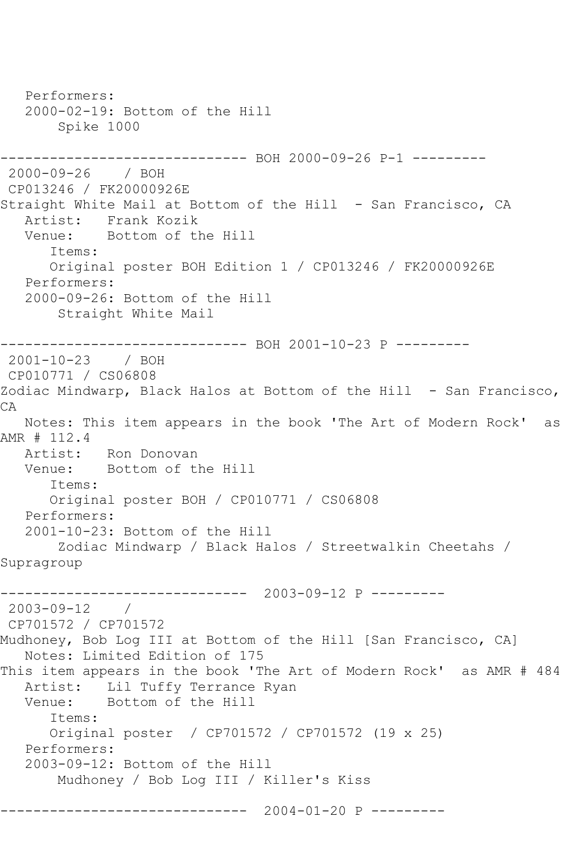Performers: 2000-02-19: Bottom of the Hill Spike 1000 ------------------------------ BOH 2000-09-26 P-1 --------- 2000-09-26 / BOH CP013246 / FK20000926E Straight White Mail at Bottom of the Hill - San Francisco, CA Artist: Frank Kozik Venue: Bottom of the Hill Items: Original poster BOH Edition 1 / CP013246 / FK20000926E Performers: 2000-09-26: Bottom of the Hill Straight White Mail ------------------------------ BOH 2001-10-23 P --------- 2001-10-23 / BOH CP010771 / CS06808 Zodiac Mindwarp, Black Halos at Bottom of the Hill - San Francisco, CA Notes: This item appears in the book 'The Art of Modern Rock' as AMR # 112.4 Artist: Ron Donovan<br>Venue: Bottom of tl Bottom of the Hill Items: Original poster BOH / CP010771 / CS06808 Performers: 2001-10-23: Bottom of the Hill Zodiac Mindwarp / Black Halos / Streetwalkin Cheetahs / Supragroup ------------------------------ 2003-09-12 P --------- 2003-09-12 / CP701572 / CP701572 Mudhoney, Bob Log III at Bottom of the Hill [San Francisco, CA] Notes: Limited Edition of 175 This item appears in the book 'The Art of Modern Rock' as AMR # 484 Artist: Lil Tuffy Terrance Ryan<br>Venue: Bottom of the Hill Bottom of the Hill Items: Original poster / CP701572 / CP701572 (19 x 25) Performers: 2003-09-12: Bottom of the Hill Mudhoney / Bob Log III / Killer's Kiss ------------------------------ 2004-01-20 P ---------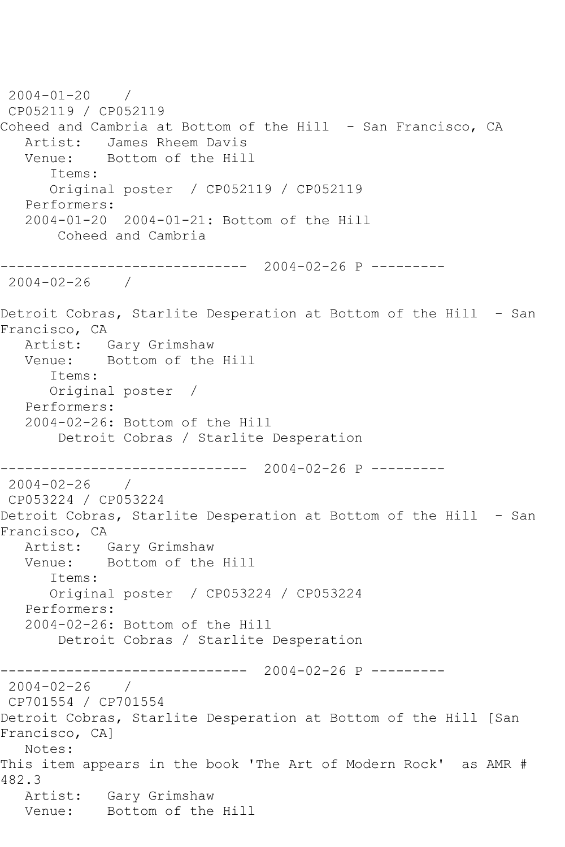2004-01-20 / CP052119 / CP052119 Coheed and Cambria at Bottom of the Hill - San Francisco, CA Artist: James Rheem Davis<br>Venue: Bottom of the Hill Bottom of the Hill Items: Original poster / CP052119 / CP052119 Performers: 2004-01-20 2004-01-21: Bottom of the Hill Coheed and Cambria ------------------------------ 2004-02-26 P --------- 2004-02-26 / Detroit Cobras, Starlite Desperation at Bottom of the Hill - San Francisco, CA Artist: Gary Grimshaw Venue: Bottom of the Hill Items: Original poster / Performers: 2004-02-26: Bottom of the Hill Detroit Cobras / Starlite Desperation ------------------------------ 2004-02-26 P --------- 2004-02-26 / CP053224 / CP053224 Detroit Cobras, Starlite Desperation at Bottom of the Hill - San Francisco, CA Artist: Gary Grimshaw Venue: Bottom of the Hill Items: Original poster / CP053224 / CP053224 Performers: 2004-02-26: Bottom of the Hill Detroit Cobras / Starlite Desperation ------------------------------ 2004-02-26 P --------- 2004-02-26 / CP701554 / CP701554 Detroit Cobras, Starlite Desperation at Bottom of the Hill [San Francisco, CA] Notes: This item appears in the book 'The Art of Modern Rock' as AMR # 482.3 Artist: Gary Grimshaw Venue: Bottom of the Hill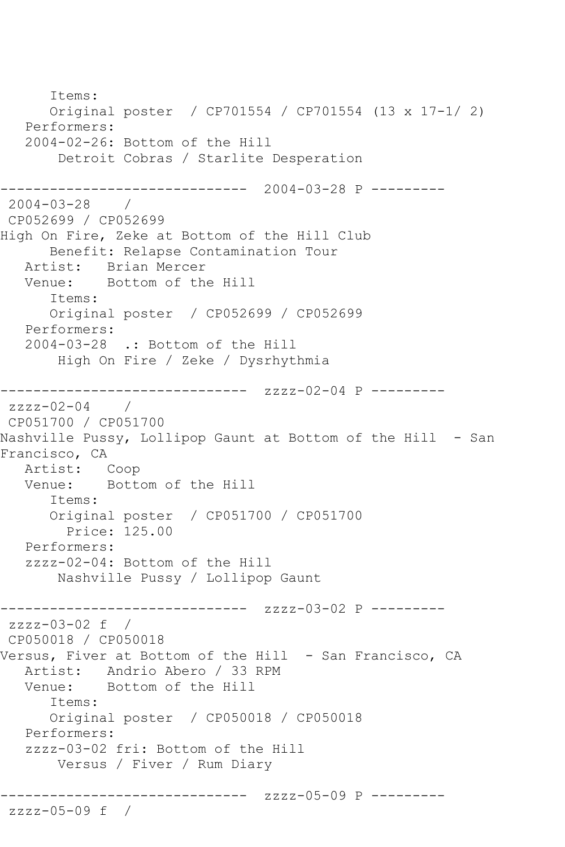Items: Original poster / CP701554 / CP701554 (13 x 17-1/ 2) Performers: 2004-02-26: Bottom of the Hill Detroit Cobras / Starlite Desperation ------------------------------ 2004-03-28 P --------- 2004-03-28 / CP052699 / CP052699 High On Fire, Zeke at Bottom of the Hill Club Benefit: Relapse Contamination Tour Artist: Brian Mercer<br>Venue: Bottom of th Bottom of the Hill Items: Original poster / CP052699 / CP052699 Performers: 2004-03-28 .: Bottom of the Hill High On Fire / Zeke / Dysrhythmia ------------------------------ zzzz-02-04 P --------  $zzzz-02-04$ CP051700 / CP051700 Nashville Pussy, Lollipop Gaunt at Bottom of the Hill - San Francisco, CA Artist: Coop<br>Venue: Bott Bottom of the Hill Items: Original poster / CP051700 / CP051700 Price: 125.00 Performers: zzzz-02-04: Bottom of the Hill Nashville Pussy / Lollipop Gaunt ------------------------------ zzzz-03-02 P -------- zzzz-03-02 f / CP050018 / CP050018 Versus, Fiver at Bottom of the Hill - San Francisco, CA Artist: Andrio Abero / 33 RPM Venue: Bottom of the Hill Items: Original poster / CP050018 / CP050018 Performers: zzzz-03-02 fri: Bottom of the Hill Versus / Fiver / Rum Diary ------------------------------ zzzz-05-09 P -------- zzzz-05-09 f /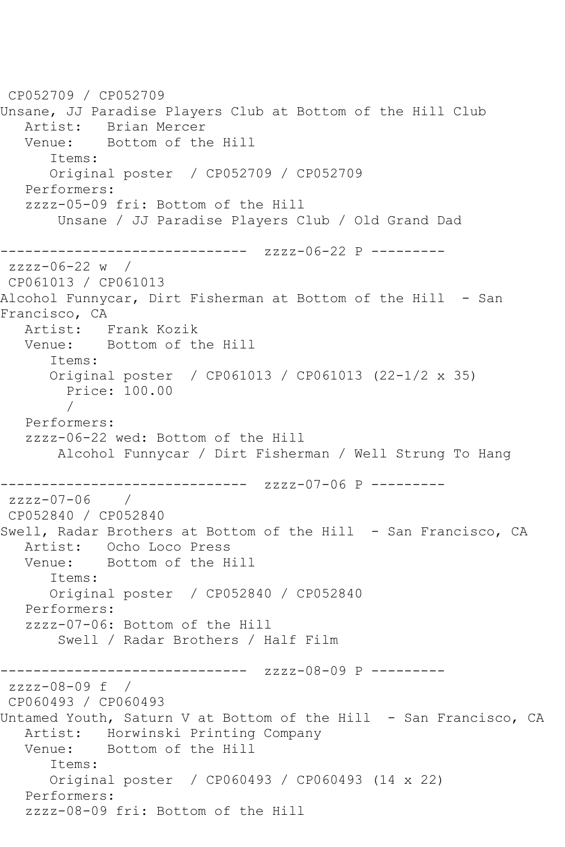CP052709 / CP052709 Unsane, JJ Paradise Players Club at Bottom of the Hill Club Artist: Brian Mercer Venue: Bottom of the Hill Items: Original poster / CP052709 / CP052709 Performers: zzzz-05-09 fri: Bottom of the Hill Unsane / JJ Paradise Players Club / Old Grand Dad ------------------------------ zzzz-06-22 P -------- zzzz-06-22 w / CP061013 / CP061013 Alcohol Funnycar, Dirt Fisherman at Bottom of the Hill - San Francisco, CA<br>Artist: 1 Frank Kozik Venue: Bottom of the Hill Items: Original poster / CP061013 / CP061013 (22-1/2 x 35) Price: 100.00 / Performers: zzzz-06-22 wed: Bottom of the Hill Alcohol Funnycar / Dirt Fisherman / Well Strung To Hang ------------------------------ zzzz-07-06 P --------  $zzzz-07-06$ CP052840 / CP052840 Swell, Radar Brothers at Bottom of the Hill - San Francisco, CA Artist: Ocho Loco Press Venue: Bottom of the Hill Items: Original poster / CP052840 / CP052840 Performers: zzzz-07-06: Bottom of the Hill Swell / Radar Brothers / Half Film ------------------------------ zzzz-08-09 P -------- zzzz-08-09 f / CP060493 / CP060493 Untamed Youth, Saturn V at Bottom of the Hill - San Francisco, CA Artist: Horwinski Printing Company Venue: Bottom of the Hill Items: Original poster / CP060493 / CP060493 (14 x 22) Performers: zzzz-08-09 fri: Bottom of the Hill